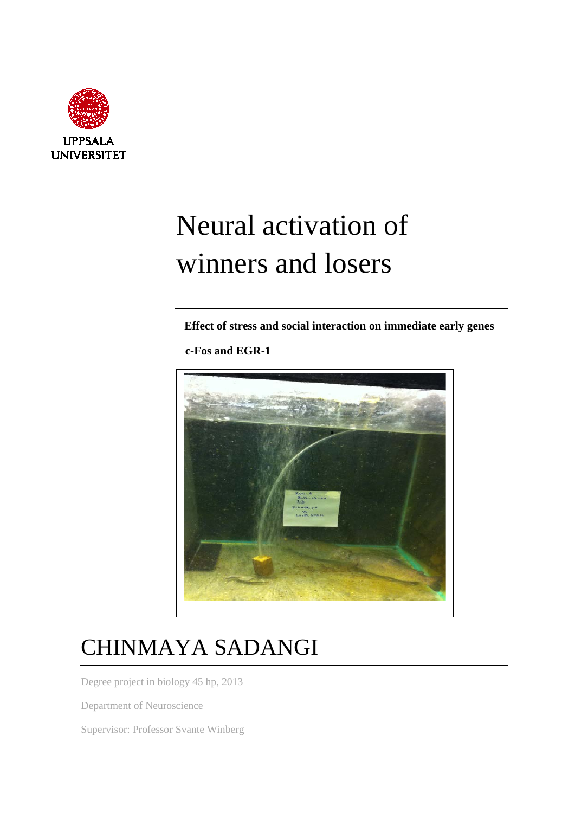

# Neural activation of winners and losers

 **Effect of stress and social interaction on immediate early genes**

 **c-Fos and EGR-1**



## CHINMAYA SADANGI

Degree project in biology 45 hp, 2013

Department of Neuroscience

Supervisor: Professor Svante Winberg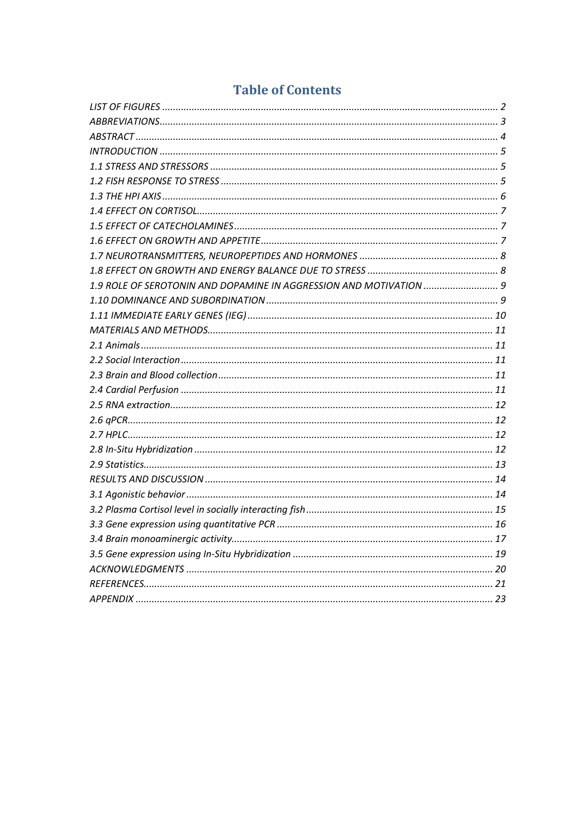### **Table of Contents**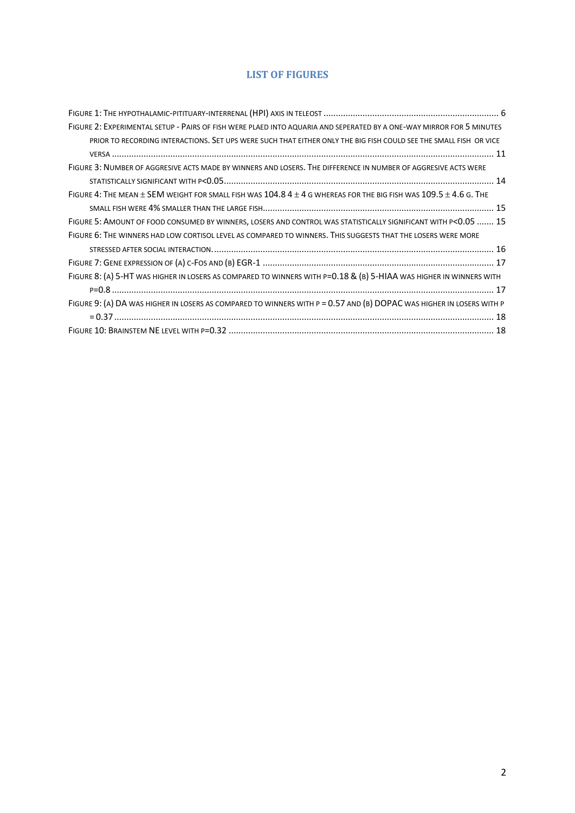#### **LIST OF FIGURES**

| FIGURE 2: EXPERIMENTAL SETUP - PAIRS OF FISH WERE PLAED INTO AQUARIA AND SEPERATED BY A ONE-WAY MIRROR FOR 5 MINUTES         |
|------------------------------------------------------------------------------------------------------------------------------|
| PRIOR TO RECORDING INTERACTIONS. SET UPS WERE SUCH THAT EITHER ONLY THE BIG FISH COULD SEE THE SMALL FISH OR VICE            |
|                                                                                                                              |
| FIGURE 3: NUMBER OF AGGRESIVE ACTS MADE BY WINNERS AND LOSERS. THE DIFFERENCE IN NUMBER OF AGGRESIVE ACTS WERE               |
|                                                                                                                              |
| FIGURE 4: THE MEAN $\pm$ SEM WEIGHT FOR SMALL FISH WAS 104.8 4 $\pm$ 4 G WHEREAS FOR THE BIG FISH WAS 109.5 $\pm$ 4.6 G. THE |
|                                                                                                                              |
| FIGURE 5: AMOUNT OF FOOD CONSUMED BY WINNERS, LOSERS AND CONTROL WAS STATISTICALLY SIGNIFICANT WITH P<0.05  15               |
| FIGURE 6: THE WINNERS HAD LOW CORTISOL LEVEL AS COMPARED TO WINNERS. THIS SUGGESTS THAT THE LOSERS WERE MORE                 |
|                                                                                                                              |
|                                                                                                                              |
| FIGURE 8: (A) 5-HT WAS HIGHER IN LOSERS AS COMPARED TO WINNERS WITH P=0.18 & (B) 5-HIAA WAS HIGHER IN WINNERS WITH           |
|                                                                                                                              |
| FIGURE 9: (A) DA WAS HIGHER IN LOSERS AS COMPARED TO WINNERS WITH P = 0.57 AND (B) DOPAC WAS HIGHER IN LOSERS WITH P         |
|                                                                                                                              |
|                                                                                                                              |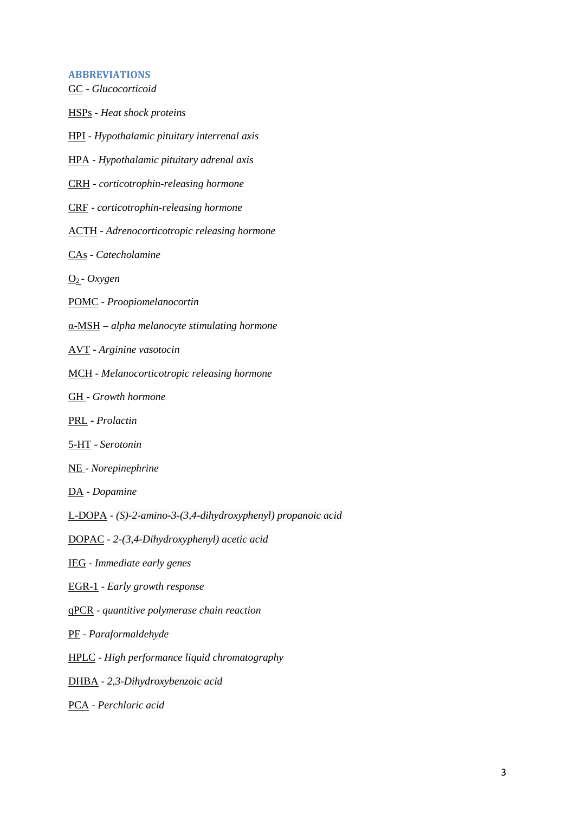#### **ABBREVIATIONS**

GC - *Glucocorticoid* HSPs - *Heat shock proteins* HPI - *Hypothalamic pituitary interrenal axis* HPA - *Hypothalamic pituitary adrenal axis* CRH - *corticotrophin-releasing hormone* CRF - *corticotrophin-releasing hormone* ACTH - *Adrenocorticotropic releasing hormone* CAs - *Catecholamine* O2 - *Oxygen* POMC - *Proopiomelanocortin* α-MSH – *alpha melanocyte stimulating hormone* AVT - *Arginine vasotocin* MCH - *Melanocorticotropic releasing hormone* GH - *Growth hormone* PRL - *Prolactin* 5-HT - *Serotonin* NE - *Norepinephrine* DA - *Dopamine* L-DOPA - *(S)-2-amino-3-(3,4-dihydroxyphenyl) propanoic acid* DOPAC *- 2-(3,4-Dihydroxyphenyl) acetic acid* IEG - *Immediate early genes* EGR-1 - *Early growth response* qPCR - *quantitive polymerase chain reaction*

PF - *Paraformaldehyde*

HPLC - *High performance liquid chromatography*

DHBA - *2,3-Dihydroxybenzoic acid*

PCA - *Perchloric acid*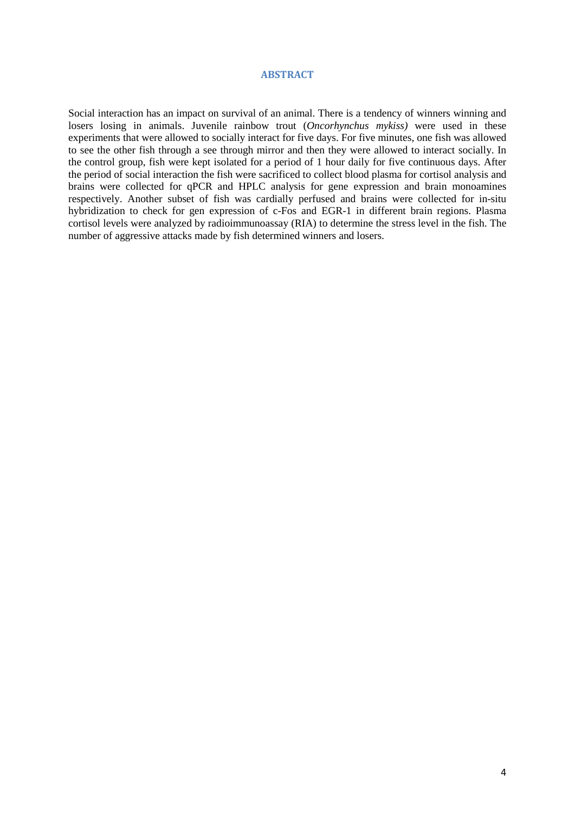#### **ABSTRACT**

Social interaction has an impact on survival of an animal. There is a tendency of winners winning and losers losing in animals. Juvenile rainbow trout (*Oncorhynchus mykiss)* were used in these experiments that were allowed to socially interact for five days. For five minutes, one fish was allowed to see the other fish through a see through mirror and then they were allowed to interact socially. In the control group, fish were kept isolated for a period of 1 hour daily for five continuous days. After the period of social interaction the fish were sacrificed to collect blood plasma for cortisol analysis and brains were collected for qPCR and HPLC analysis for gene expression and brain monoamines respectively. Another subset of fish was cardially perfused and brains were collected for in-situ hybridization to check for gen expression of c-Fos and EGR-1 in different brain regions. Plasma cortisol levels were analyzed by radioimmunoassay (RIA) to determine the stress level in the fish. The number of aggressive attacks made by fish determined winners and losers.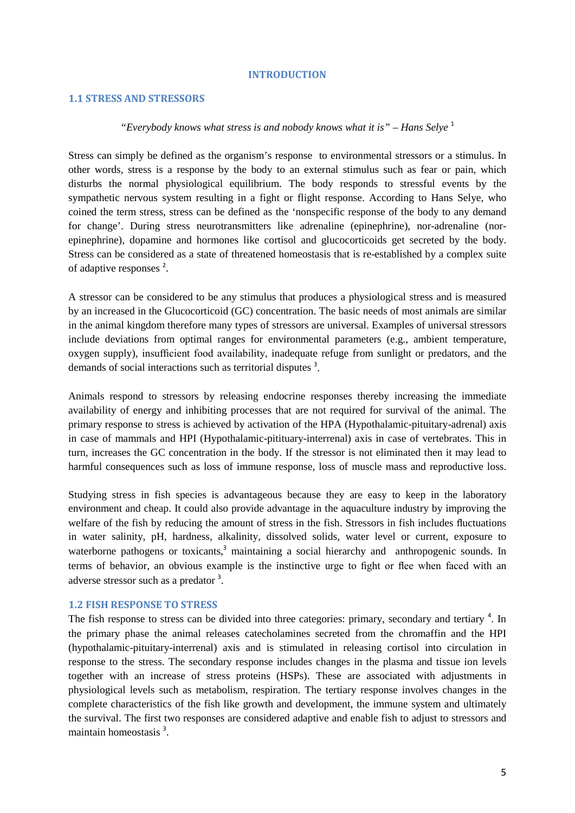#### **INTRODUCTION**

#### **1.1 STRESS AND STRESSORS**

#### *"Everybody knows what stress is and nobody knows what it is" – Hans Selye* [1](#page-21-0)

Stress can simply be defined as the organism's response to environmental stressors or a stimulus. In other words, stress is a response by the body to an external stimulus such as fear or pain, which disturbs the normal physiological equilibrium. The body responds to stressful events by the sympathetic nervous system resulting in a fight or flight response. According to Hans Selye, who coined the term stress, stress can be defined as the 'nonspecific response of the body to any demand for change'. During stress neurotransmitters like adrenaline (epinephrine), nor-adrenaline (norepinephrine), dopamine and hormones like cortisol and glucocorticoids get secreted by the body. Stress can be considered as a state of threatened homeostasis that is re-established by a complex suite of adaptive responses<sup>[2](#page-21-1)</sup>.

A stressor can be considered to be any stimulus that produces a physiological stress and is measured by an increased in the Glucocorticoid (GC) concentration. The basic needs of most animals are similar in the animal kingdom therefore many types of stressors are universal. Examples of universal stressors include deviations from optimal ranges for environmental parameters (e.g., ambient temperature, oxygen supply), insufficient food availability, inadequate refuge from sunlight or predators, and the demands of social interactions such as territorial disputes<sup>3</sup>[.](#page-21-2)

Animals respond to stressors by releasing endocrine responses thereby increasing the immediate availability of energy and inhibiting processes that are not required for survival of the animal. The primary response to stress is achieved by activation of the HPA (Hypothalamic-pituitary-adrenal) axis in case of mammals and HPI (Hypothalamic-pitituary-interrenal) axis in case of vertebrates. This in turn, increases the GC concentration in the body. If the stressor is not eliminated then it may lead to harmful consequences such as loss of immune response, loss of muscle mass and reproductive loss.

Studying stress in fish species is advantageous because they are easy to keep in the laboratory environment and cheap. It could also provide advantage in the aquaculture industry by improving the welfare of the fish by reducing the amount of stress in the fish. Stressors in fish includes fluctuations in water salinity, pH, hardness, alkalinity, dissolved solids, water level or current, exposure to waterborne pathogens or toxicants[,](#page-21-2)<sup>3</sup> maintaining a social hierarchy and anthropogenic sounds. In terms of behavior, an obvious example is the instinctive urge to fight or flee when faced with an adverse stressor such as a predator<sup>[3](#page-21-2)</sup>.

#### **1.2 FISH RESPONSE TO STRESS**

The fish response to stress can be divided into three categories: primary, secondary and tertiary<sup>4</sup>[.](#page-21-3) In the primary phase the animal releases catecholamines secreted from the chromaffin and the HPI (hypothalamic-pituitary-interrenal) axis and is stimulated in releasing cortisol into circulation in response to the stress. The secondary response includes changes in the plasma and tissue ion levels together with an increase of stress proteins (HSPs). These are associated with adjustments in physiological levels such as metabolism, respiration. The tertiary response involves changes in the complete characteristics of the fish like growth and development, the immune system and ultimately the survival. The first two responses are considered adaptive and enable fish to adjust to stressors and maintainhomeostasis<sup>3</sup>.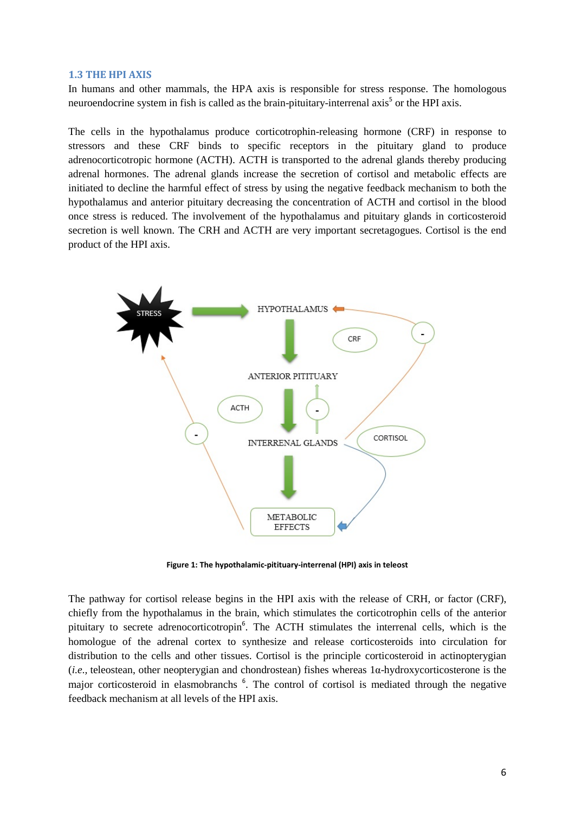#### **1.3 THE HPI AXIS**

In humans and other mammals, the HPA axis is responsible for stress response. The homologous neuroendocrine system in fish is called as the brain-pituitary-interrenal axis<sup>[5](#page-21-4)</sup> or the HPI axis.

The cells in the hypothalamus produce corticotrophin-releasing hormone (CRF) in response to stressors and these CRF binds to specific receptors in the pituitary gland to produce adrenocorticotropic hormone (ACTH). ACTH is transported to the adrenal glands thereby producing adrenal hormones. The adrenal glands increase the secretion of cortisol and metabolic effects are initiated to decline the harmful effect of stress by using the negative feedback mechanism to both the hypothalamus and anterior pituitary decreasing the concentration of ACTH and cortisol in the blood once stress is reduced. The involvement of the hypothalamus and pituitary glands in corticosteroid secretion is well known. The CRH and ACTH are very important secretagogues. Cortisol is the end product of the HPI axis.



**Figure 1: The hypothalamic-pitituary-interrenal (HPI) axis in teleost**

The pathway for cortisol release begins in the HPI axis with the release of CRH, or factor (CRF), chiefly from the hypothalamus in the brain, which stimulates the corticotrophin cells of the anterior pituitary to secrete adre[n](#page-21-5)ocorticotropin<sup>6</sup>. The ACTH stimulates the interrenal cells, which is the homologue of the adrenal cortex to synthesize and release corticosteroids into circulation for distribution to the cells and other tissues. Cortisol is the principle corticosteroid in actinopterygian (*i.e.,* teleostean, other neopterygian and chondrostean) fishes whereas 1α-hydroxycorticosterone is the major corticosteroid in elasmobranchs<sup>[6](#page-21-5)</sup>. The control of cortisol is mediated through the negative feedback mechanism at all levels of the HPI axis.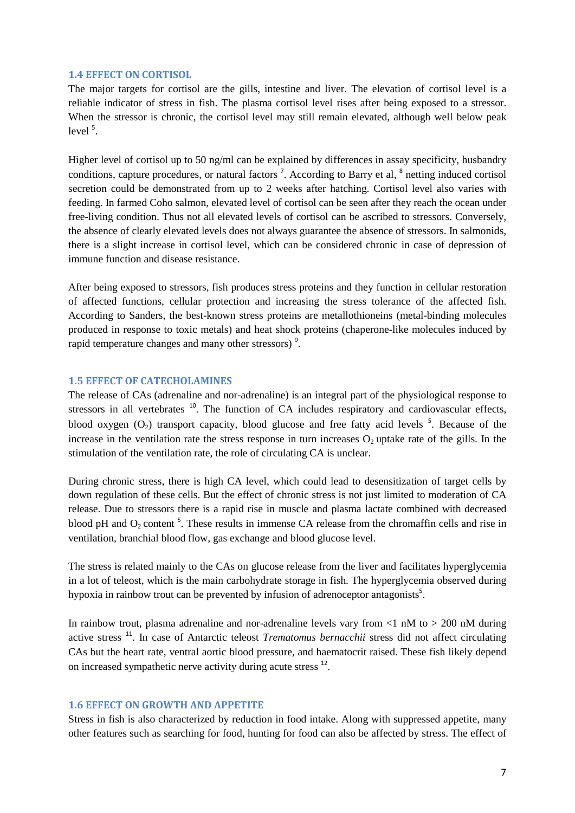#### **1.4 EFFECT ON CORTISOL**

The major targets for cortisol are the gills, intestine and liver. The elevation of cortisol level is a reliable indicator of stress in fish. The plasma cortisol level rises after being exposed to a stressor. When the stressor is chronic, the cortisol level may still remain elevated, although well below peak  $level<sup>5</sup>$ [.](#page-21-4)

Higher level of cortisol up to 50 ng/ml can be explained by differences in assay specificity, husbandry conditions,capture procedures, or natural factors<sup>7</sup>. According to Barry et al, <sup>[8](#page-21-7)</sup> netting induced cortisol secretion could be demonstrated from up to 2 weeks after hatching. Cortisol level also varies with feeding. In farmed Coho salmon, elevated level of cortisol can be seen after they reach the ocean under free-living condition. Thus not all elevated levels of cortisol can be ascribed to stressors. Conversely, the absence of clearly elevated levels does not always guarantee the absence of stressors. In salmonids, there is a slight increase in cortisol level, which can be considered chronic in case of depression of immune function and disease resistance.

After being exposed to stressors, fish produces stress proteins and they function in cellular restoration of affected functions, cellular protection and increasing the stress tolerance of the affected fish. According to Sanders, the best-known stress proteins are metallothioneins (metal-binding molecules produced in response to toxic metals) and heat shock proteins (chaperone-like molecules induced by rapid temperature changes and many other stressors)<sup>9</sup>[.](#page-21-8)

#### **1.5 EFFECT OF CATECHOLAMINES**

The release of CAs (adrenaline and nor-adrenaline) is an integral part of the physiological response to stressors in all vertebrates  $10$ . The function of CA includes respiratory and cardiovascular effects, blood oxygen  $(O_2)$  transport capacity, blood glucose and free fatty acid levels  $5$ . Because of the increase in the ventilation rate the stress response in turn increases  $O_2$  uptake rate of the gills. In the stimulation of the ventilation rate, the role of circulating CA is unclear.

During chronic stress, there is high CA level, which could lead to desensitization of target cells by down regulation of these cells. But the effect of chronic stress is not just limited to moderation of CA release. Due to stressors there is a rapid rise in muscle and plasma lactate combined with decreased blood pH and  $O_2$  content <sup>5</sup>[.](#page-21-4) These results in immense CA release from the chromaffin cells and rise in ventilation, branchial blood flow, gas exchange and blood glucose level.

The stress is related mainly to the CAs on glucose release from the liver and facilitates hyperglycemia in a lot of teleost, which is the main carbohydrate storage in fish. The hyperglycemia observed during hypoxia in rainbow trout can be prevented by infusion of adrenoceptor antagonists<sup>5</sup>[.](#page-21-4)

In rainbow trout, plasma adrenaline and nor-adrenaline levels vary from  $\langle 1 \text{ nM} \text{ to } \rangle 200 \text{ nM}$  during active stress [11](#page-21-10). In case of Antarctic teleost *Trematomus bernacchii* stress did not affect circulating CAs but the heart rate, ventral aortic blood pressure, and haematocrit raised. These fish likely depend on increased sympathetic nerve activity during acute stress [12](#page-21-11).

#### **1.6 EFFECT ON GROWTH AND APPETITE**

Stress in fish is also characterized by reduction in food intake. Along with suppressed appetite, many other features such as searching for food, hunting for food can also be affected by stress. The effect of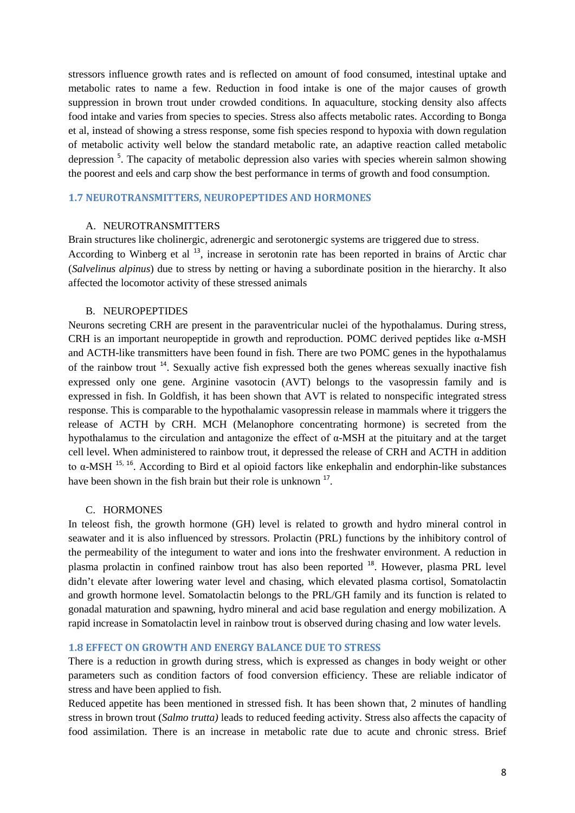stressors influence growth rates and is reflected on amount of food consumed, intestinal uptake and metabolic rates to name a few. Reduction in food intake is one of the major causes of growth suppression in brown trout under crowded conditions. In aquaculture, stocking density also affects food intake and varies from species to species. Stress also affects metabolic rates. According to Bonga et al, instead of showing a stress response, some fish species respond to hypoxia with down regulation of metabolic activity well below the standard metabolic rate, an adaptive reaction called metabolic depression<sup>[5](#page-21-4)</sup>. The capacity of metabolic depression also varies with species wherein salmon showing the poorest and eels and carp show the best performance in terms of growth and food consumption.

#### **1.7 NEUROTRANSMITTERS, NEUROPEPTIDES AND HORMONES**

#### A. NEUROTRANSMITTERS

Brain structures like cholinergic, adrenergic and serotonergic systems are triggered due to stress. According to Winberg et al <sup>[13](#page-21-12)</sup>, increase in serotonin rate has been reported in brains of Arctic char (*Salvelinus alpinus*) due to stress by netting or having a subordinate position in the hierarchy. It also affected the locomotor activity of these stressed animals

#### B. NEUROPEPTIDES

Neurons secreting CRH are present in the paraventricular nuclei of the hypothalamus. During stress, CRH is an important neuropeptide in growth and reproduction. POMC derived peptides like  $\alpha$ -MSH and ACTH-like transmitters have been found in fish. There are two POMC genes in the hypothalamus of the rainbow trout [14](#page-21-13). Sexually active fish expressed both the genes whereas sexually inactive fish expressed only one gene. Arginine vasotocin (AVT) belongs to the vasopressin family and is expressed in fish. In Goldfish, it has been shown that AVT is related to nonspecific integrated stress response. This is comparable to the hypothalamic vasopressin release in mammals where it triggers the release of ACTH by CRH. MCH (Melanophore concentrating hormone) is secreted from the hypothalamus to the circulation and antagonize the effect of α-MSH at the pituitary and at the target cell level. When administered to rainbow trout, it depressed the release of CRH and ACTH in addition to α-MSH [15,](#page-21-14) [16](#page-21-15). According to Bird et al opioid factors like enkephalin and endorphin-like substances have been shown in the fish brain but their role is unknown <sup>[17](#page-21-16)</sup>.

#### C. HORMONES

In teleost fish, the growth hormone (GH) level is related to growth and hydro mineral control in seawater and it is also influenced by stressors. Prolactin (PRL) functions by the inhibitory control of the permeability of the integument to water and ions into the freshwater environment. A reduction in plasma prolactin in confined rainbow trout has also been reported <sup>[18](#page-21-17)</sup>. However, plasma PRL level didn't elevate after lowering water level and chasing, which elevated plasma cortisol, Somatolactin and growth hormone level. Somatolactin belongs to the PRL/GH family and its function is related to gonadal maturation and spawning, hydro mineral and acid base regulation and energy mobilization. A rapid increase in Somatolactin level in rainbow trout is observed during chasing and low water levels.

#### **1.8 EFFECT ON GROWTH AND ENERGY BALANCE DUE TO STRESS**

There is a reduction in growth during stress, which is expressed as changes in body weight or other parameters such as condition factors of food conversion efficiency. These are reliable indicator of stress and have been applied to fish.

Reduced appetite has been mentioned in stressed fish. It has been shown that, 2 minutes of handling stress in brown trout (*Salmo trutta)* leads to reduced feeding activity. Stress also affects the capacity of food assimilation. There is an increase in metabolic rate due to acute and chronic stress. Brief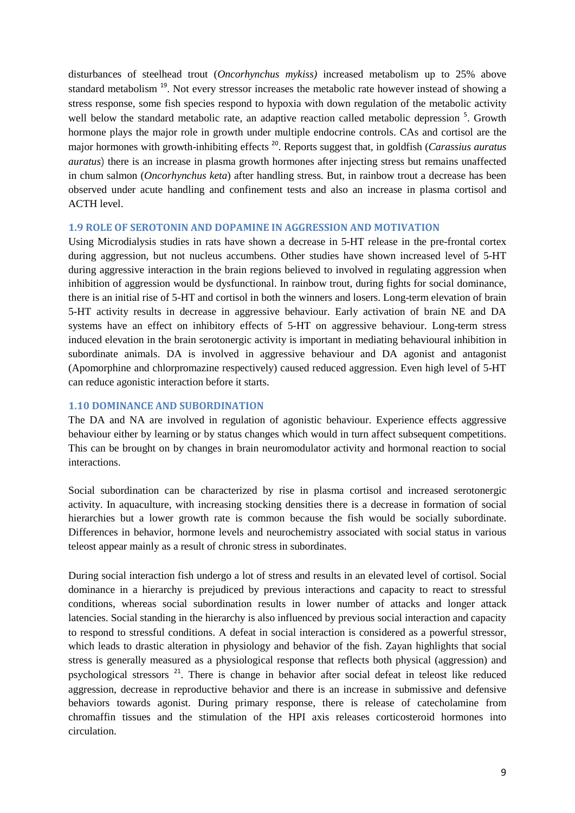disturbances of steelhead trout (*Oncorhynchus mykiss)* increased metabolism up to 25% above standard metabolism<sup>[19](#page-21-18)</sup>. Not every stressor increases the metabolic rate however instead of showing a stress response, some fish species respond to hypoxia with down regulation of the metabolic activity well below the standard metabolic rate, an adaptive reaction called metabolic depression<sup>[5](#page-21-4)</sup>. Growth hormone plays the major role in growth under multiple endocrine controls. CAs and cortisol are the major hormones with growth-inhibiting effects [20](#page-21-19). Reports suggest that, in goldfish (*Carassius auratus auratus*) there is an increase in plasma growth hormones after injecting stress but remains unaffected in chum salmon (*Oncorhynchus keta*) after handling stress. But, in rainbow trout a decrease has been observed under acute handling and confinement tests and also an increase in plasma cortisol and ACTH level.

#### **1.9 ROLE OF SEROTONIN AND DOPAMINE IN AGGRESSION AND MOTIVATION**

Using Microdialysis studies in rats have shown a decrease in 5-HT release in the pre-frontal cortex during aggression, but not nucleus accumbens. Other studies have shown increased level of 5-HT during aggressive interaction in the brain regions believed to involved in regulating aggression when inhibition of aggression would be dysfunctional. In rainbow trout, during fights for social dominance, there is an initial rise of 5-HT and cortisol in both the winners and losers. Long-term elevation of brain 5-HT activity results in decrease in aggressive behaviour. Early activation of brain NE and DA systems have an effect on inhibitory effects of 5-HT on aggressive behaviour. Long-term stress induced elevation in the brain serotonergic activity is important in mediating behavioural inhibition in subordinate animals. DA is involved in aggressive behaviour and DA agonist and antagonist (Apomorphine and chlorpromazine respectively) caused reduced aggression. Even high level of 5-HT can reduce agonistic interaction before it starts.

#### **1.10 DOMINANCE AND SUBORDINATION**

The DA and NA are involved in regulation of agonistic behaviour. Experience effects aggressive behaviour either by learning or by status changes which would in turn affect subsequent competitions. This can be brought on by changes in brain neuromodulator activity and hormonal reaction to social interactions.

Social subordination can be characterized by rise in plasma cortisol and increased serotonergic activity. In aquaculture, with increasing stocking densities there is a decrease in formation of social hierarchies but a lower growth rate is common because the fish would be socially subordinate. Differences in behavior, hormone levels and neurochemistry associated with social status in various teleost appear mainly as a result of chronic stress in subordinates.

During social interaction fish undergo a lot of stress and results in an elevated level of cortisol. Social dominance in a hierarchy is prejudiced by previous interactions and capacity to react to stressful conditions, whereas social subordination results in lower number of attacks and longer attack latencies. Social standing in the hierarchy is also influenced by previous social interaction and capacity to respond to stressful conditions. A defeat in social interaction is considered as a powerful stressor, which leads to drastic alteration in physiology and behavior of the fish. Zayan highlights that social stress is generally measured as a physiological response that reflects both physical (aggression) and psychological stressors [21](#page-21-20). There is change in behavior after social defeat in teleost like reduced aggression, decrease in reproductive behavior and there is an increase in submissive and defensive behaviors towards agonist. During primary response, there is release of catecholamine from chromaffin tissues and the stimulation of the HPI axis releases corticosteroid hormones into circulation.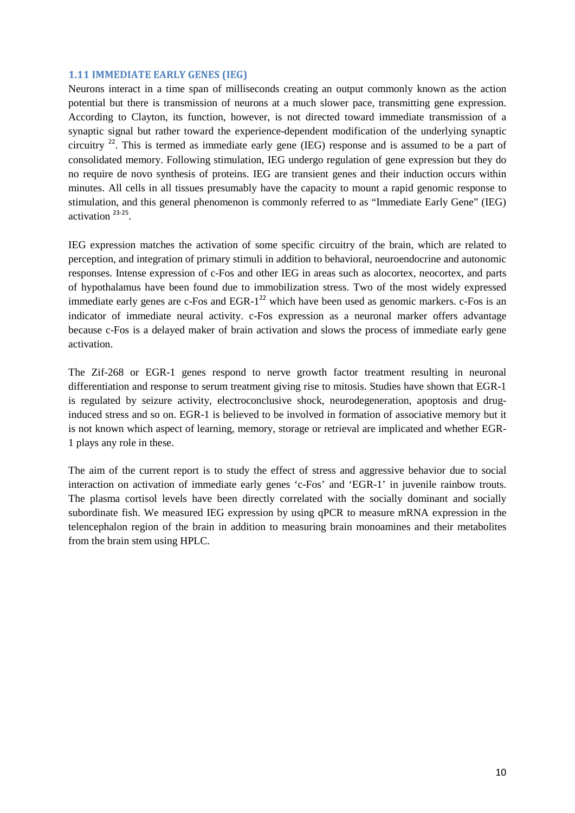#### **1.11 IMMEDIATE EARLY GENES (IEG)**

Neurons interact in a time span of milliseconds creating an output commonly known as the action potential but there is transmission of neurons at a much slower pace, transmitting gene expression. According to Clayton, its function, however, is not directed toward immediate transmission of a synaptic signal but rather toward the experience-dependent modification of the underlying synaptic circuitry [22](#page-21-21). This is termed as immediate early gene (IEG) response and is assumed to be a part of consolidated memory. Following stimulation, IEG undergo regulation of gene expression but they do no require de novo synthesis of proteins. IEG are transient genes and their induction occurs within minutes. All cells in all tissues presumably have the capacity to mount a rapid genomic response to stimulation, and this general phenomenon is commonly referred to as "Immediate Early Gene" (IEG) activation [23-25](#page-21-22).

IEG expression matches the activation of some specific circuitry of the brain, which are related to perception, and integration of primary stimuli in addition to behavioral, neuroendocrine and autonomic responses. Intense expression of c-Fos and other IEG in areas such as alocortex, neocortex, and parts of hypothalamus have been found due to immobilization stress. Two of the most widely expressed immediate early genes are c-Fos and  $EGR-1<sup>22</sup>$  $EGR-1<sup>22</sup>$  $EGR-1<sup>22</sup>$  which have been used as genomic markers. c-Fos is an indicator of immediate neural activity. c-Fos expression as a neuronal marker offers advantage because c-Fos is a delayed maker of brain activation and slows the process of immediate early gene activation.

The Zif-268 or EGR-1 genes respond to nerve growth factor treatment resulting in neuronal differentiation and response to serum treatment giving rise to mitosis. Studies have shown that EGR-1 is regulated by seizure activity, electroconclusive shock, neurodegeneration, apoptosis and druginduced stress and so on. EGR-1 is believed to be involved in formation of associative memory but it is not known which aspect of learning, memory, storage or retrieval are implicated and whether EGR-1 plays any role in these.

The aim of the current report is to study the effect of stress and aggressive behavior due to social interaction on activation of immediate early genes 'c-Fos' and 'EGR-1' in juvenile rainbow trouts. The plasma cortisol levels have been directly correlated with the socially dominant and socially subordinate fish. We measured IEG expression by using qPCR to measure mRNA expression in the telencephalon region of the brain in addition to measuring brain monoamines and their metabolites from the brain stem using HPLC.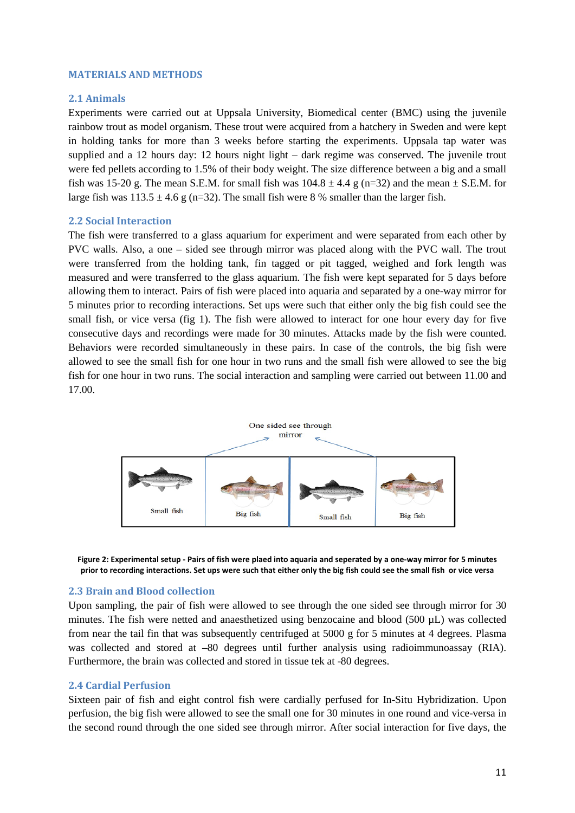#### **MATERIALS AND METHODS**

#### **2.1 Animals**

Experiments were carried out at Uppsala University, Biomedical center (BMC) using the juvenile rainbow trout as model organism. These trout were acquired from a hatchery in Sweden and were kept in holding tanks for more than 3 weeks before starting the experiments. Uppsala tap water was supplied and a 12 hours day: 12 hours night light – dark regime was conserved. The juvenile trout were fed pellets according to 1.5% of their body weight. The size difference between a big and a small fish was 15-20 g. The mean S.E.M. for small fish was  $104.8 \pm 4.4$  g (n=32) and the mean  $\pm$  S.E.M. for large fish was  $113.5 \pm 4.6$  g (n=32). The small fish were 8 % smaller than the larger fish.

#### **2.2 Social Interaction**

The fish were transferred to a glass aquarium for experiment and were separated from each other by PVC walls. Also, a one – sided see through mirror was placed along with the PVC wall. The trout were transferred from the holding tank, fin tagged or pit tagged, weighed and fork length was measured and were transferred to the glass aquarium. The fish were kept separated for 5 days before allowing them to interact. Pairs of fish were placed into aquaria and separated by a one-way mirror for 5 minutes prior to recording interactions. Set ups were such that either only the big fish could see the small fish, or vice versa (fig 1). The fish were allowed to interact for one hour every day for five consecutive days and recordings were made for 30 minutes. Attacks made by the fish were counted. Behaviors were recorded simultaneously in these pairs. In case of the controls, the big fish were allowed to see the small fish for one hour in two runs and the small fish were allowed to see the big fish for one hour in two runs. The social interaction and sampling were carried out between 11.00 and 17.00.





#### **2.3 Brain and Blood collection**

Upon sampling, the pair of fish were allowed to see through the one sided see through mirror for 30 minutes. The fish were netted and anaesthetized using benzocaine and blood (500 µL) was collected from near the tail fin that was subsequently centrifuged at 5000 g for 5 minutes at 4 degrees. Plasma was collected and stored at –80 degrees until further analysis using radioimmunoassay (RIA). Furthermore, the brain was collected and stored in tissue tek at -80 degrees.

#### **2.4 Cardial Perfusion**

Sixteen pair of fish and eight control fish were cardially perfused for In-Situ Hybridization. Upon perfusion, the big fish were allowed to see the small one for 30 minutes in one round and vice-versa in the second round through the one sided see through mirror. After social interaction for five days, the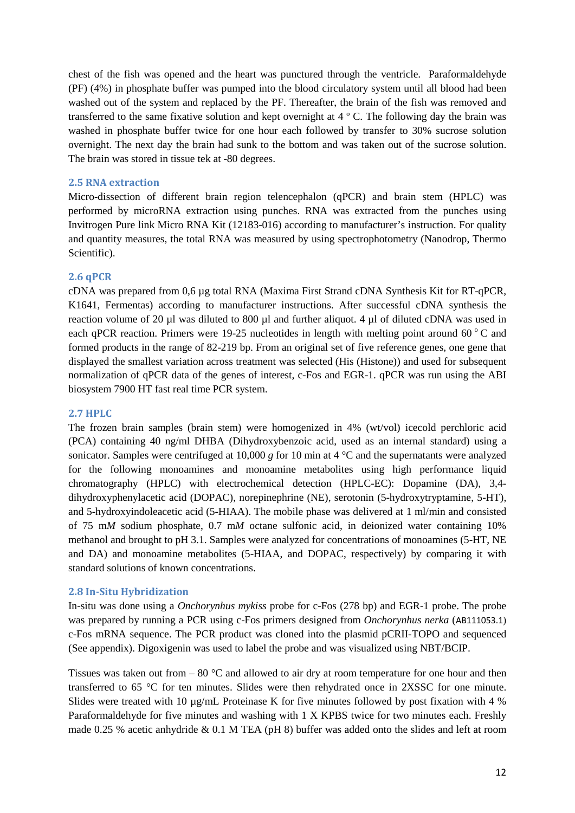chest of the fish was opened and the heart was punctured through the ventricle. Paraformaldehyde (PF) (4%) in phosphate buffer was pumped into the blood circulatory system until all blood had been washed out of the system and replaced by the PF. Thereafter, the brain of the fish was removed and transferred to the same fixative solution and kept overnight at 4 º C. The following day the brain was washed in phosphate buffer twice for one hour each followed by transfer to 30% sucrose solution overnight. The next day the brain had sunk to the bottom and was taken out of the sucrose solution. The brain was stored in tissue tek at -80 degrees.

#### **2.5 RNA extraction**

Micro-dissection of different brain region telencephalon (qPCR) and brain stem (HPLC) was performed by microRNA extraction using punches. RNA was extracted from the punches using Invitrogen Pure link Micro RNA Kit (12183-016) according to manufacturer's instruction. For quality and quantity measures, the total RNA was measured by using spectrophotometry (Nanodrop, Thermo Scientific).

#### **2.6 qPCR**

cDNA was prepared from 0,6 µg total RNA (Maxima First Strand cDNA Synthesis Kit for RT-qPCR, K1641, Fermentas) according to manufacturer instructions. After successful cDNA synthesis the reaction volume of 20 µl was diluted to 800 µl and further aliquot. 4 µl of diluted cDNA was used in each qPCR reaction. Primers were 19-25 nucleotides in length with melting point around 60  $^{\circ}$ C and formed products in the range of 82-219 bp. From an original set of five reference genes, one gene that displayed the smallest variation across treatment was selected (His (Histone)) and used for subsequent normalization of qPCR data of the genes of interest, c-Fos and EGR-1. qPCR was run using the ABI biosystem 7900 HT fast real time PCR system.

#### **2.7 HPLC**

The frozen brain samples (brain stem) were homogenized in 4% (wt/vol) icecold perchloric acid (PCA) containing 40 ng/ml DHBA (Dihydroxybenzoic acid, used as an internal standard) using a sonicator. Samples were centrifuged at 10,000 *g* for 10 min at 4 °C and the supernatants were analyzed for the following monoamines and monoamine metabolites using high performance liquid chromatography (HPLC) with electrochemical detection (HPLC-EC): Dopamine (DA), 3,4 dihydroxyphenylacetic acid (DOPAC), norepinephrine (NE), serotonin (5-hydroxytryptamine, 5-HT), and 5-hydroxyindoleacetic acid (5-HIAA). The mobile phase was delivered at 1 ml/min and consisted of 75 m*M* sodium phosphate, 0.7 m*M* octane sulfonic acid, in deionized water containing 10% methanol and brought to pH 3.1. Samples were analyzed for concentrations of monoamines (5-HT, NE and DA) and monoamine metabolites (5-HIAA, and DOPAC, respectively) by comparing it with standard solutions of known concentrations.

#### **2.8 In-Situ Hybridization**

In-situ was done using a *Onchorynhus mykiss* probe for c-Fos (278 bp) and EGR-1 probe. The probe was prepared by running a PCR using c-Fos primers designed from *Onchorynhus nerka* ([AB111053.1](http://www.ncbi.nlm.nih.gov/entrez/viewer.fcgi?db=nucleotide&id=31339309)) c-Fos mRNA sequence. The PCR product was cloned into the plasmid pCRII-TOPO and sequenced (See appendix). Digoxigenin was used to label the probe and was visualized using NBT/BCIP.

Tissues was taken out from  $-80$  °C and allowed to air dry at room temperature for one hour and then transferred to 65 °C for ten minutes. Slides were then rehydrated once in 2XSSC for one minute. Slides were treated with 10  $\mu$ g/mL Proteinase K for five minutes followed by post fixation with 4 % Paraformaldehyde for five minutes and washing with 1 X KPBS twice for two minutes each. Freshly made 0.25 % acetic anhydride & 0.1 M TEA (pH 8) buffer was added onto the slides and left at room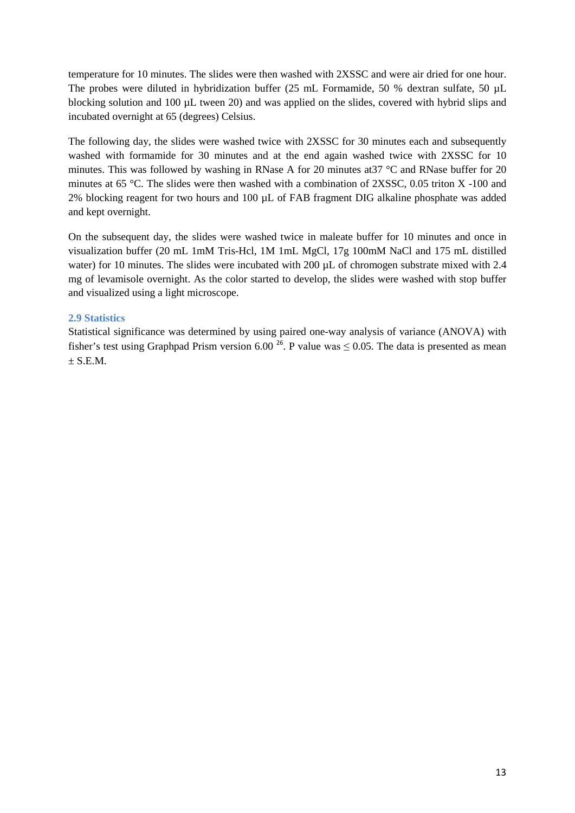temperature for 10 minutes. The slides were then washed with 2XSSC and were air dried for one hour. The probes were diluted in hybridization buffer (25 mL Formamide, 50 % dextran sulfate, 50  $\mu$ L blocking solution and 100 µL tween 20) and was applied on the slides, covered with hybrid slips and incubated overnight at 65 (degrees) Celsius.

The following day, the slides were washed twice with 2XSSC for 30 minutes each and subsequently washed with formamide for 30 minutes and at the end again washed twice with 2XSSC for 10 minutes. This was followed by washing in RNase A for 20 minutes at37 °C and RNase buffer for 20 minutes at 65 °C. The slides were then washed with a combination of 2XSSC, 0.05 triton X -100 and 2% blocking reagent for two hours and 100 µL of FAB fragment DIG alkaline phosphate was added and kept overnight.

On the subsequent day, the slides were washed twice in maleate buffer for 10 minutes and once in visualization buffer (20 mL 1mM Tris-Hcl, 1M 1mL MgCl, 17g 100mM NaCl and 175 mL distilled water) for 10 minutes. The slides were incubated with 200 µL of chromogen substrate mixed with 2.4 mg of levamisole overnight. As the color started to develop, the slides were washed with stop buffer and visualized using a light microscope.

#### **2.9 Statistics**

Statistical significance was determined by using paired one-way analysis of variance (ANOVA) with fisher's test using Graphpad Prism version 6.00<sup>[26](#page-21-23)</sup>. P value was  $\leq 0.05$ . The data is presented as mean  $\pm$  S.E.M.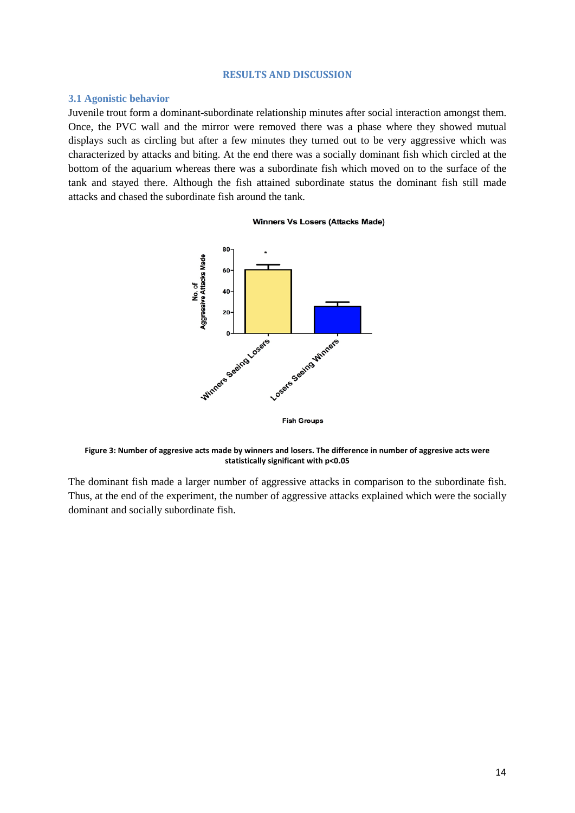#### **RESULTS AND DISCUSSION**

#### **3.1 Agonistic behavior**

Juvenile trout form a dominant-subordinate relationship minutes after social interaction amongst them. Once, the PVC wall and the mirror were removed there was a phase where they showed mutual displays such as circling but after a few minutes they turned out to be very aggressive which was characterized by attacks and biting. At the end there was a socially dominant fish which circled at the bottom of the aquarium whereas there was a subordinate fish which moved on to the surface of the tank and stayed there. Although the fish attained subordinate status the dominant fish still made attacks and chased the subordinate fish around the tank.

#### Winners Vs Losers (Attacks Made)



**Figure 3: Number of aggresive acts made by winners and losers. The difference in number of aggresive acts were statistically significant with p<0.05**

The dominant fish made a larger number of aggressive attacks in comparison to the subordinate fish. Thus, at the end of the experiment, the number of aggressive attacks explained which were the socially dominant and socially subordinate fish.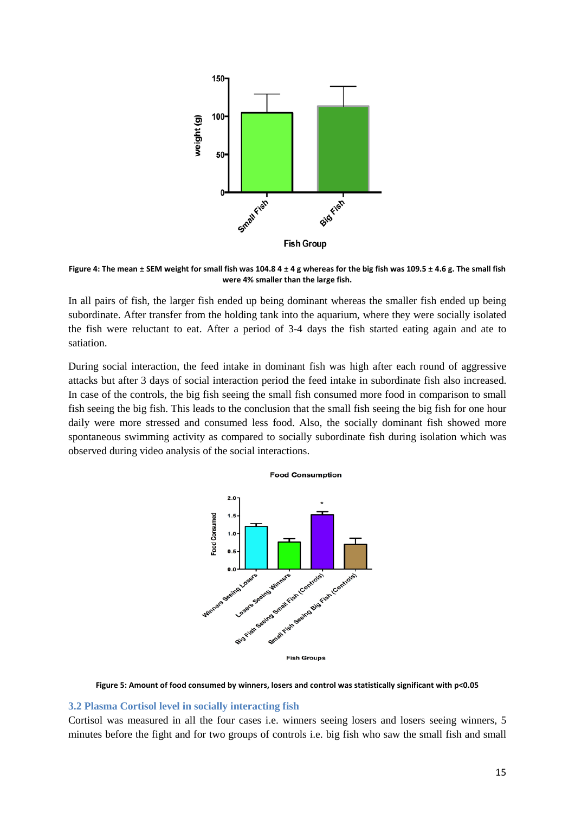

**Figure 4: The mean ± SEM weight for small fish was 104.8 4 ± 4 g whereas for the big fish was 109.5 ± 4.6 g. The small fish were 4% smaller than the large fish.**

In all pairs of fish, the larger fish ended up being dominant whereas the smaller fish ended up being subordinate. After transfer from the holding tank into the aquarium, where they were socially isolated the fish were reluctant to eat. After a period of 3-4 days the fish started eating again and ate to satiation.

During social interaction, the feed intake in dominant fish was high after each round of aggressive attacks but after 3 days of social interaction period the feed intake in subordinate fish also increased. In case of the controls, the big fish seeing the small fish consumed more food in comparison to small fish seeing the big fish. This leads to the conclusion that the small fish seeing the big fish for one hour daily were more stressed and consumed less food. Also, the socially dominant fish showed more spontaneous swimming activity as compared to socially subordinate fish during isolation which was observed during video analysis of the social interactions.





**Figure 5: Amount of food consumed by winners, losers and control was statistically significant with p<0.05**

#### **3.2 Plasma Cortisol level in socially interacting fish**

Cortisol was measured in all the four cases i.e. winners seeing losers and losers seeing winners, 5 minutes before the fight and for two groups of controls i.e. big fish who saw the small fish and small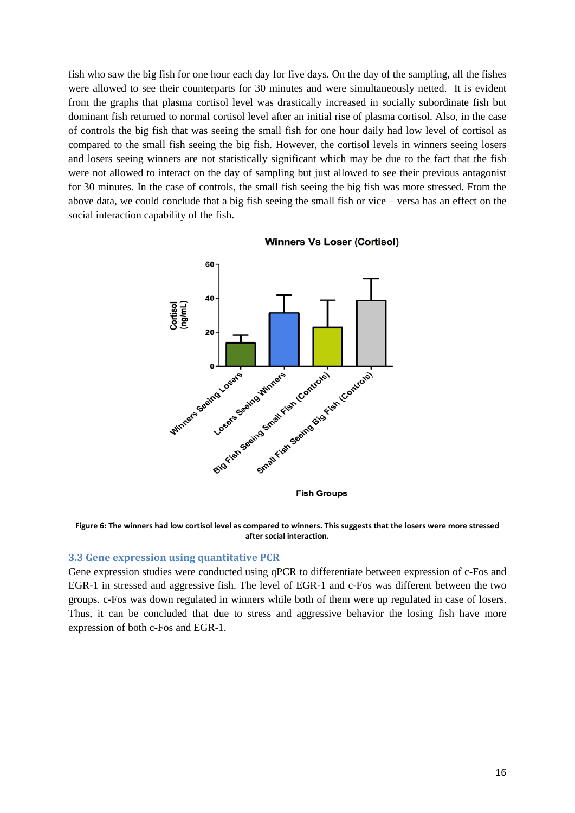fish who saw the big fish for one hour each day for five days. On the day of the sampling, all the fishes were allowed to see their counterparts for 30 minutes and were simultaneously netted. It is evident from the graphs that plasma cortisol level was drastically increased in socially subordinate fish but dominant fish returned to normal cortisol level after an initial rise of plasma cortisol. Also, in the case of controls the big fish that was seeing the small fish for one hour daily had low level of cortisol as compared to the small fish seeing the big fish. However, the cortisol levels in winners seeing losers and losers seeing winners are not statistically significant which may be due to the fact that the fish were not allowed to interact on the day of sampling but just allowed to see their previous antagonist for 30 minutes. In the case of controls, the small fish seeing the big fish was more stressed. From the above data, we could conclude that a big fish seeing the small fish or vice – versa has an effect on the social interaction capability of the fish.



**Winners Vs Loser (Cortisol)** 

**Figure 6: The winners had low cortisol level as compared to winners. This suggests that the losers were more stressed after social interaction.**

#### **3.3 Gene expression using quantitative PCR**

Gene expression studies were conducted using qPCR to differentiate between expression of c-Fos and EGR-1 in stressed and aggressive fish. The level of EGR-1 and c-Fos was different between the two groups. c-Fos was down regulated in winners while both of them were up regulated in case of losers. Thus, it can be concluded that due to stress and aggressive behavior the losing fish have more expression of both c-Fos and EGR-1.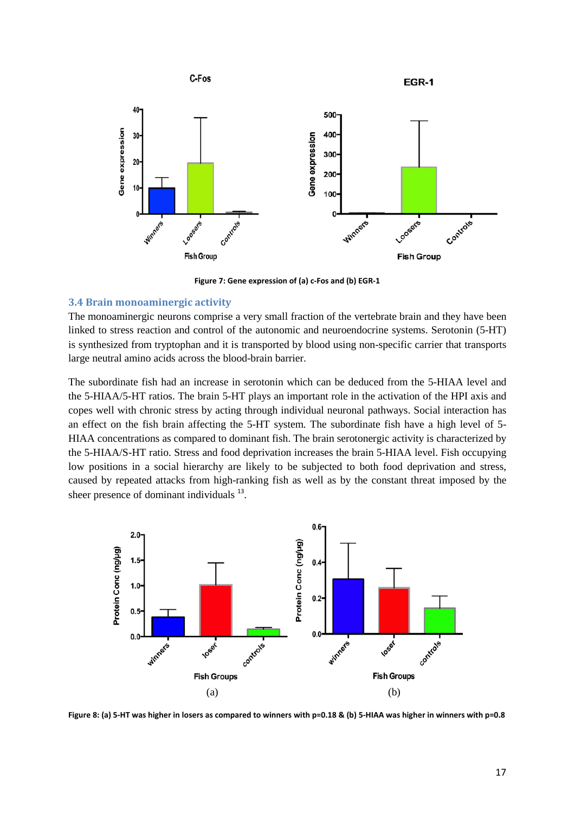

**Figure 7: Gene expression of (a) c-Fos and (b) EGR-1**

#### **3.4 Brain monoaminergic activity**

The monoaminergic neurons comprise a very small fraction of the vertebrate brain and they have been linked to stress reaction and control of the autonomic and neuroendocrine systems. Serotonin (5-HT) is synthesized from tryptophan and it is transported by blood using non-specific carrier that transports large neutral amino acids across the blood-brain barrier.

The subordinate fish had an increase in serotonin which can be deduced from the 5-HIAA level and the 5-HIAA/5-HT ratios. The brain 5-HT plays an important role in the activation of the HPI axis and copes well with chronic stress by acting through individual neuronal pathways. Social interaction has an effect on the fish brain affecting the 5-HT system. The subordinate fish have a high level of 5- HIAA concentrations as compared to dominant fish. The brain serotonergic activity is characterized by the 5-HIAA/S-HT ratio. Stress and food deprivation increases the brain 5-HIAA level. Fish occupying low positions in a social hierarchy are likely to be subjected to both food deprivation and stress, caused by repeated attacks from high-ranking fish as well as by the constant threat imposed by the sheer presence of dominant individuals  $^{13}$  $^{13}$  $^{13}$ .



**Figure 8: (a) 5-HT was higher in losers as compared to winners with p=0.18 & (b) 5-HIAA was higher in winners with p=0.8**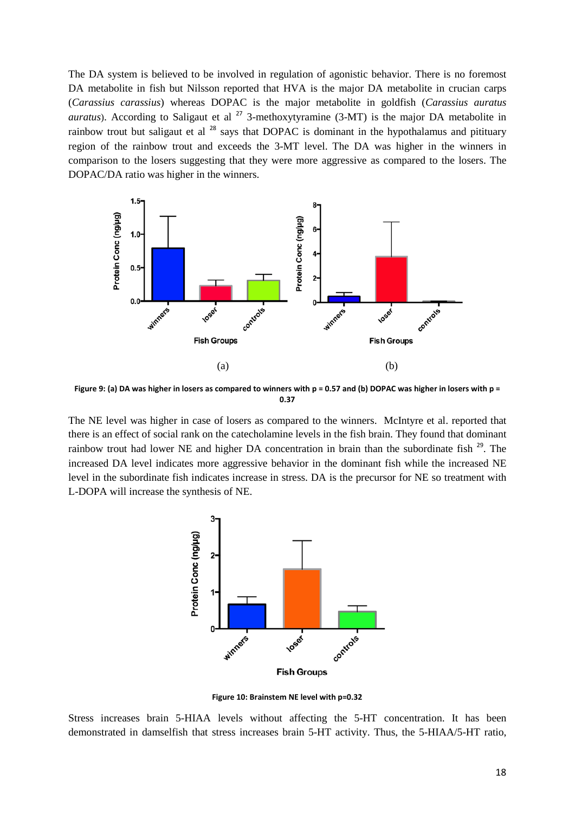The DA system is believed to be involved in regulation of agonistic behavior. There is no foremost DA metabolite in fish but Nilsson reported that HVA is the major DA metabolite in crucian carps (*Carassius carassius*) whereas DOPAC is the major metabolite in goldfish (*Carassius auratus auratus*). According to Saligaut et al  $^{27}$  $^{27}$  $^{27}$  3-methoxytyramine (3-MT) is the major DA metabolite in rainbow trout but saligaut et al <sup>[28](#page-22-0)</sup> says that DOPAC is dominant in the hypothalamus and pitituary region of the rainbow trout and exceeds the 3-MT level. The DA was higher in the winners in comparison to the losers suggesting that they were more aggressive as compared to the losers. The DOPAC/DA ratio was higher in the winners.



Figure 9: (a) DA was higher in losers as compared to winners with p = 0.57 and (b) DOPAC was higher in losers with p = **0.37**

The NE level was higher in case of losers as compared to the winners. McIntyre et al. reported that there is an effect of social rank on the catecholamine levels in the fish brain. They found that dominant rainbow trout had lower NE and higher DA concentration in brain than the subordinate fish <sup>[29](#page-22-1)</sup>. The increased DA level indicates more aggressive behavior in the dominant fish while the increased NE level in the subordinate fish indicates increase in stress. DA is the precursor for NE so treatment with L-DOPA will increase the synthesis of NE.



**Figure 10: Brainstem NE level with p=0.32**

Stress increases brain 5-HIAA levels without affecting the 5-HT concentration. It has been demonstrated in damselfish that stress increases brain 5-HT activity. Thus, the 5-HIAA/5-HT ratio,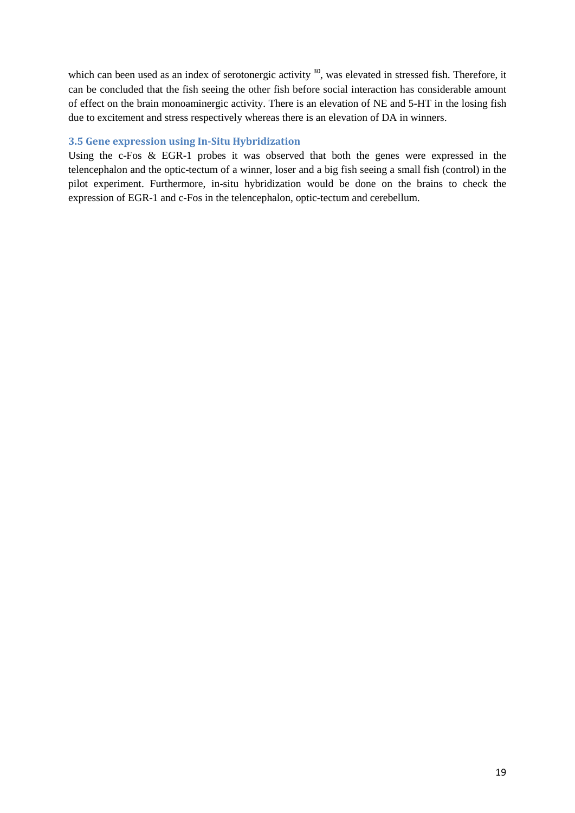which can been used as an index of serotonergic activity <sup>[30](#page-22-2)</sup>, was elevated in stressed fish. Therefore, it can be concluded that the fish seeing the other fish before social interaction has considerable amount of effect on the brain monoaminergic activity. There is an elevation of NE and 5-HT in the losing fish due to excitement and stress respectively whereas there is an elevation of DA in winners.

#### **3.5 Gene expression using In-Situ Hybridization**

Using the c-Fos & EGR-1 probes it was observed that both the genes were expressed in the telencephalon and the optic-tectum of a winner, loser and a big fish seeing a small fish (control) in the pilot experiment. Furthermore, in-situ hybridization would be done on the brains to check the expression of EGR-1 and c-Fos in the telencephalon, optic-tectum and cerebellum.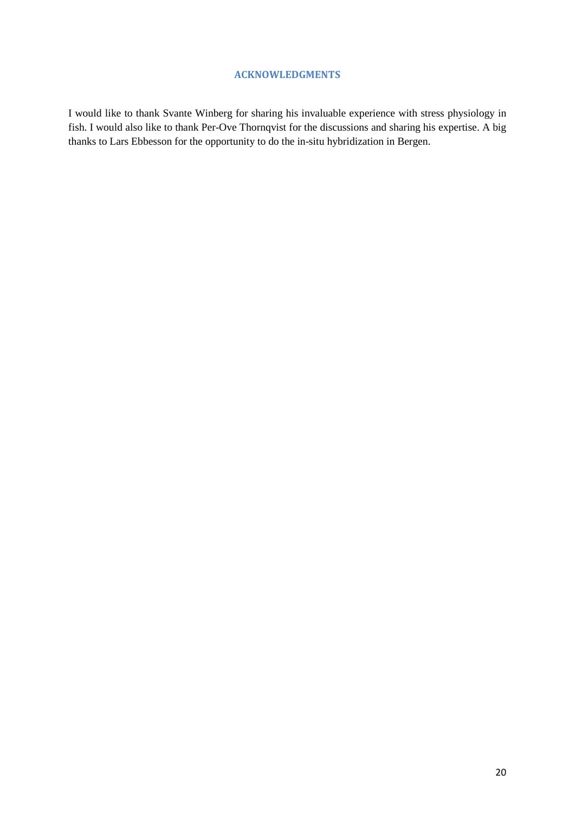#### **ACKNOWLEDGMENTS**

I would like to thank Svante Winberg for sharing his invaluable experience with stress physiology in fish. I would also like to thank Per-Ove Thornqvist for the discussions and sharing his expertise. A big thanks to Lars Ebbesson for the opportunity to do the in-situ hybridization in Bergen.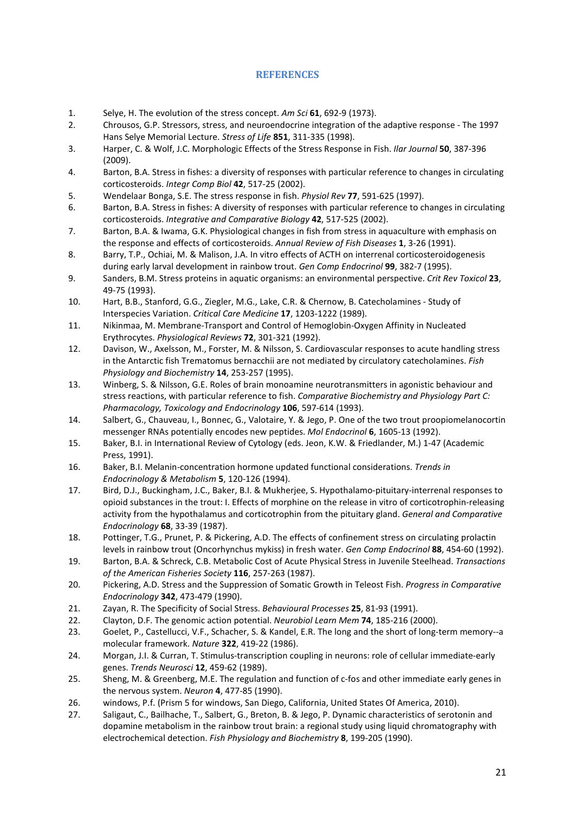#### **REFERENCES**

- <span id="page-21-0"></span>1. Selye, H. The evolution of the stress concept. *Am Sci* **61**, 692-9 (1973).
- <span id="page-21-1"></span>2. Chrousos, G.P. Stressors, stress, and neuroendocrine integration of the adaptive response - The 1997 Hans Selye Memorial Lecture. *Stress of Life* **851**, 311-335 (1998).
- <span id="page-21-2"></span>3. Harper, C. & Wolf, J.C. Morphologic Effects of the Stress Response in Fish. *Ilar Journal* **50**, 387-396 (2009).
- <span id="page-21-3"></span>4. Barton, B.A. Stress in fishes: a diversity of responses with particular reference to changes in circulating corticosteroids. *Integr Comp Biol* **42**, 517-25 (2002).
- <span id="page-21-4"></span>5. Wendelaar Bonga, S.E. The stress response in fish. *Physiol Rev* **77**, 591-625 (1997).
- <span id="page-21-5"></span>6. Barton, B.A. Stress in fishes: A diversity of responses with particular reference to changes in circulating corticosteroids. *Integrative and Comparative Biology* **42**, 517-525 (2002).
- <span id="page-21-6"></span>7. Barton, B.A. & Iwama, G.K. Physiological changes in fish from stress in aquaculture with emphasis on the response and effects of corticosteroids. *Annual Review of Fish Diseases* **1**, 3-26 (1991).
- <span id="page-21-7"></span>8. Barry, T.P., Ochiai, M. & Malison, J.A. In vitro effects of ACTH on interrenal corticosteroidogenesis during early larval development in rainbow trout. *Gen Comp Endocrinol* **99**, 382-7 (1995).
- <span id="page-21-8"></span>9. Sanders, B.M. Stress proteins in aquatic organisms: an environmental perspective. *Crit Rev Toxicol* **23**, 49-75 (1993).
- <span id="page-21-9"></span>10. Hart, B.B., Stanford, G.G., Ziegler, M.G., Lake, C.R. & Chernow, B. Catecholamines - Study of Interspecies Variation. *Critical Care Medicine* **17**, 1203-1222 (1989).
- <span id="page-21-10"></span>11. Nikinmaa, M. Membrane-Transport and Control of Hemoglobin-Oxygen Affinity in Nucleated Erythrocytes. *Physiological Reviews* **72**, 301-321 (1992).
- <span id="page-21-11"></span>12. Davison, W., Axelsson, M., Forster, M. & Nilsson, S. Cardiovascular responses to acute handling stress in the Antarctic fish Trematomus bernacchii are not mediated by circulatory catecholamines. *Fish Physiology and Biochemistry* **14**, 253-257 (1995).
- <span id="page-21-12"></span>13. Winberg, S. & Nilsson, G.E. Roles of brain monoamine neurotransmitters in agonistic behaviour and stress reactions, with particular reference to fish. *Comparative Biochemistry and Physiology Part C: Pharmacology, Toxicology and Endocrinology* **106**, 597-614 (1993).
- <span id="page-21-13"></span>14. Salbert, G., Chauveau, I., Bonnec, G., Valotaire, Y. & Jego, P. One of the two trout proopiomelanocortin messenger RNAs potentially encodes new peptides. *Mol Endocrinol* **6**, 1605-13 (1992).
- <span id="page-21-14"></span>15. Baker, B.I. in International Review of Cytology (eds. Jeon, K.W. & Friedlander, M.) 1-47 (Academic Press, 1991).
- <span id="page-21-15"></span>16. Baker, B.I. Melanin-concentration hormone updated functional considerations. *Trends in Endocrinology & Metabolism* **5**, 120-126 (1994).
- <span id="page-21-16"></span>17. Bird, D.J., Buckingham, J.C., Baker, B.I. & Mukherjee, S. Hypothalamo-pituitary-interrenal responses to opioid substances in the trout: I. Effects of morphine on the release in vitro of corticotrophin-releasing activity from the hypothalamus and corticotrophin from the pituitary gland. *General and Comparative Endocrinology* **68**, 33-39 (1987).
- <span id="page-21-17"></span>18. Pottinger, T.G., Prunet, P. & Pickering, A.D. The effects of confinement stress on circulating prolactin levels in rainbow trout (Oncorhynchus mykiss) in fresh water. *Gen Comp Endocrinol* **88**, 454-60 (1992).
- <span id="page-21-18"></span>19. Barton, B.A. & Schreck, C.B. Metabolic Cost of Acute Physical Stress in Juvenile Steelhead. *Transactions of the American Fisheries Society* **116**, 257-263 (1987).
- <span id="page-21-19"></span>20. Pickering, A.D. Stress and the Suppression of Somatic Growth in Teleost Fish. *Progress in Comparative Endocrinology* **342**, 473-479 (1990).
- <span id="page-21-20"></span>21. Zayan, R. The Specificity of Social Stress. *Behavioural Processes* **25**, 81-93 (1991).
- <span id="page-21-21"></span>22. Clayton, D.F. The genomic action potential. *Neurobiol Learn Mem* **74**, 185-216 (2000).
- <span id="page-21-22"></span>23. Goelet, P., Castellucci, V.F., Schacher, S. & Kandel, E.R. The long and the short of long-term memory--a molecular framework. *Nature* **322**, 419-22 (1986).
- 24. Morgan, J.I. & Curran, T. Stimulus-transcription coupling in neurons: role of cellular immediate-early genes. *Trends Neurosci* **12**, 459-62 (1989).
- 25. Sheng, M. & Greenberg, M.E. The regulation and function of c-fos and other immediate early genes in the nervous system. *Neuron* **4**, 477-85 (1990).
- <span id="page-21-23"></span>26. windows, P.f. (Prism 5 for windows, San Diego, California, United States Of America, 2010).
- <span id="page-21-24"></span>27. Saligaut, C., Bailhache, T., Salbert, G., Breton, B. & Jego, P. Dynamic characteristics of serotonin and dopamine metabolism in the rainbow trout brain: a regional study using liquid chromatography with electrochemical detection. *Fish Physiology and Biochemistry* **8**, 199-205 (1990).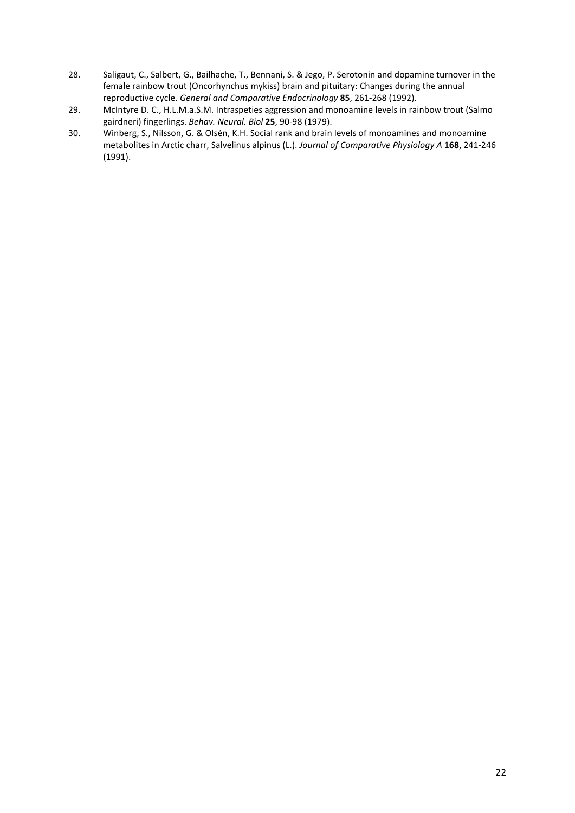- <span id="page-22-0"></span>28. Saligaut, C., Salbert, G., Bailhache, T., Bennani, S. & Jego, P. Serotonin and dopamine turnover in the female rainbow trout (Oncorhynchus mykiss) brain and pituitary: Changes during the annual reproductive cycle. *General and Comparative Endocrinology* **85**, 261-268 (1992).
- <span id="page-22-1"></span>29. McIntyre D. C., H.L.M.a.S.M. Intraspeties aggression and monoamine levels in rainbow trout (Salmo gairdneri) fingerlings. *Behav. Neural. Biol* **25**, 90-98 (1979).
- <span id="page-22-2"></span>30. Winberg, S., Nilsson, G. & Olsén, K.H. Social rank and brain levels of monoamines and monoamine metabolites in Arctic charr, Salvelinus alpinus (L.). *Journal of Comparative Physiology A* **168**, 241-246 (1991).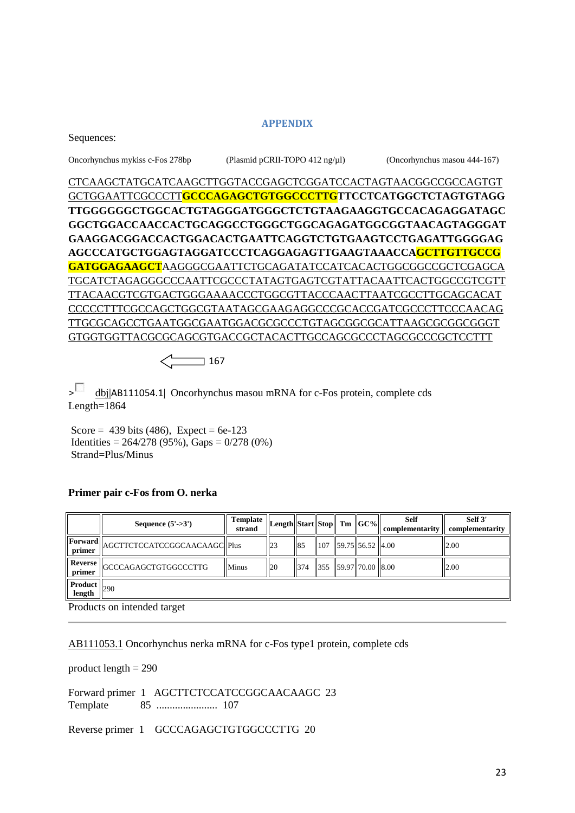#### **APPENDIX**

Oncorhynchus mykiss c-Fos 278bp (Plasmid pCRII-TOPO 412 ng/µl) (Oncorhynchus masou 444-167)

CTCAAGCTATGCATCAAGCTTGGTACCGAGCTCGGATCCACTAGTAACGGCCGCCAGTGT GCTGGAATTCGCCCTT**GCCCAGAGCTGTGGCCCTTGTTCCTCATGGCTCTAGTGTAGG TTGGGGGGCTGGCACTGTAGGGATGGGCTCTGTAAGAAGGTGCCACAGAGGATAGC GGCTGGACCAACCACTGCAGGCCTGGGCTGGCAGAGATGGCGGTAACAGTAGGGAT GAAGGACGGACCACTGGACACTGAATTCAGGTCTGTGAAGTCCTGAGATTGGGGAG AGCCCATGCTGGAGTAGGATCCCTCAGGAGAGTTGAAGTAAACCAGCTTGTTGCCG GATGGAGAAGCT**AAGGGCGAATTCTGCAGATATCCATCACACTGGCGGCCGCTCGAGCA TGCATCTAGAGGGCCCAATTCGCCCTATAGTGAGTCGTATTACAATTCACTGGCCGTCGTT TTACAACGTCGTGACTGGGAAAACCCTGGCGTTACCCAACTTAATCGCCTTGCAGCACAT CCCCCTTTCGCCAGCTGGCGTAATAGCGAAGAGGCCCGCACCGATCGCCCTTCCCAACAG TTGCGCAGCCTGAATGGCGAATGGACGCGCCCTGTAGCGGCGCATTAAGCGCGGCGGGT GTGGTGGTTACGCGCAGCGTGACCGCTACACTTGCCAGCGCCCTAGCGCCCGCTCCTTT

 $\le$  167

 $>$  dbi|[AB111054.1](http://www.ncbi.nlm.nih.gov/nucleotide/31339311?report=genbank&log$=nuclalign&blast_rank=1&RID=W17UDKXC012)| Oncorhynchus masou mRNA for c-Fos protein, complete cds Length=1864

Score =  $439$  bits (486), Expect =  $6e-123$ Identities =  $264/278$  (95%), Gaps =  $0/278$  (0%) Strand=Plus/Minus

#### **Primer pair c-Fos from O. nerka**

|                          | Sequence $(5'-3')$                     | <b>Template</b><br>strand | Length  Start  Stop   Tm   GC% |     |                    |                           | <b>Self</b><br>complementarity | Self 3'<br>complementarity |
|--------------------------|----------------------------------------|---------------------------|--------------------------------|-----|--------------------|---------------------------|--------------------------------|----------------------------|
| primer                   | Forward  AGCTTCTCCATCCGGCAACAAGC  Plus |                           | $\overline{23}$                | 85  | $\blacksquare$ 107 | $ 59.75 $ 56.52 4.00      |                                | 2.00                       |
| <b>Reverse</b><br>primer | GCCCAGAGCTGTGGCCCTTG                   | <b>Minus</b>              | 20                             | 374 |                    | 355   59.97  70.00   8.00 |                                | 12.00                      |
| <b>Product</b><br>length | 290                                    |                           |                                |     |                    |                           |                                |                            |

Products on intended target

[AB111053.1](http://www.ncbi.nlm.nih.gov/entrez/viewer.fcgi?db=nucleotide&id=31339309) Oncorhynchus nerka mRNA for c-Fos type1 protein, complete cds

product length = 290

Forward primer 1 AGCTTCTCCATCCGGCAACAAGC 23 Template 85 ....................... 107

Reverse primer 1 GCCCAGAGCTGTGGCCCTTG 20